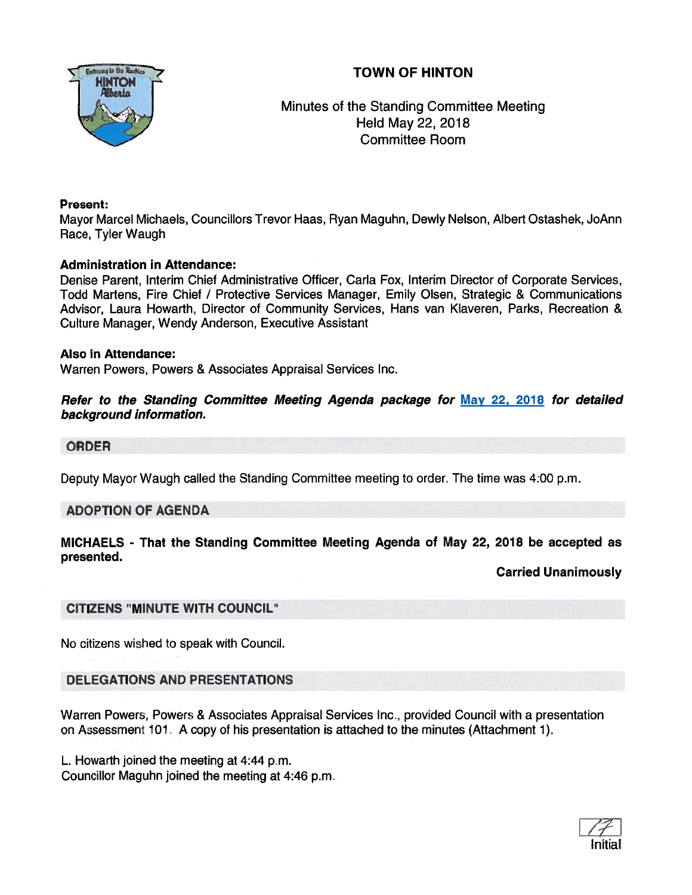

Minutes of the Standing Committee Meeting Held May 22, 2018 Committee Room

## Present:

Mayor Marcel Michaels, Councillors Trevor Haas, Ryan Maguhn, Dewly Nelson, Albert Ostashek, JoAnn Race, Tyler Waugh

## Administration in Attendance:

Denise Parent, Interim Chief Administrative Officer, Carla Fox, Interim Director of Corporate Services, Todd Martens, Fire Chief / Protective Services Manager, Emily Olsen, Strategic & Communications Advisor, Laura Howarth, Director of Community Services, Hans van Klaveren, Parks, Recreation & Culture Manager, Wendy Anderson, Executive Assistant

## Also in Attendance:

Warren Powers, Powers & Associates Appraisal Services Inc.

#### Refer to the Standing Committee Meeting Agenda package for May 22, 2018 for detailed background information.

## ORDER

Deputy Mayor Waugh called the Standing Committee meeting to order. The time was 4:00 p.m.

#### ADOPTION OF AGENDA

## MICHAELS - That the Standing Committee Meeting Agenda of May 22, 2018 be accepted as presented.

Carried Unanimously

## CITIZENS "MINUTE WITH COUNCIL"

No citizens wished to speak with Council.

# DELEGATIONS AND PRESENTATIONS

Warren Powers, Powers & Associates Appraisal Services Inc., provided Council with <sup>a</sup> presentation on Assessment 101. A copy of his presentation is attached to the minutes (Attachment 1).

L. Howarth joined the meeting at 4:44 p.m. Councillor Maguhn joined the meeting at 4:46 p.m.

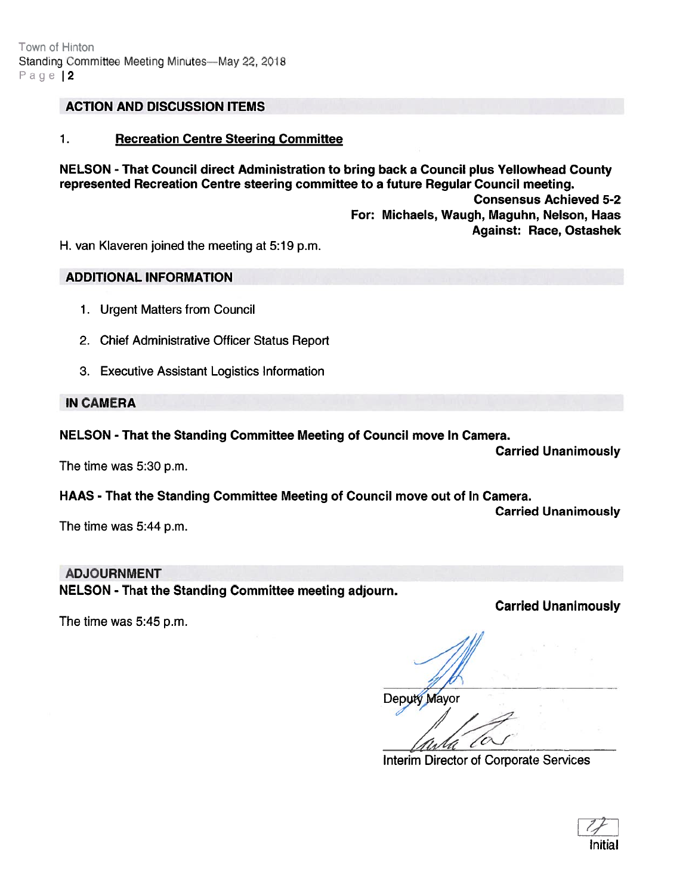## ACTION AND DISCUSSION ITEMS

#### 1. Recreation Centre Steering Committee

NELSON - That Council direct Administration to bring back <sup>a</sup> Council plus Yellowhead County represented Recreation Centre steering committee to <sup>a</sup> future Regular Council meeting. Consensus Achieved 5-2 For: Michaels, Waugh, Maguhn, Nelson, Haas Against: Race, Ostashek

H. van Kiaveren joined the meeting at 5:19 p.m.

#### ADDITIONAL INFORMATION

- 1. Urgent Matters from Council
- 2. Chief Administrative Officer Status Report
- 3. Executive Assistant Logistics Information

#### IN CAMERA

#### NELSON - That the Standing Committee Meeting of Council move In Camera.

The time was 5:30 p.m.

Carried Unanimously

## HAAS - That the Standing Committee Meeting of Council move out of In Camera.

Carried Unanimously

The time was 5:44 p.m.

The time was 5:45 p.m.

#### ADJOURNMENT

NELSON - That the Standing Committee meeting adjourn.

Carried Unanimously

/7

Deputy Mayor

Interim Director of Corporate Services

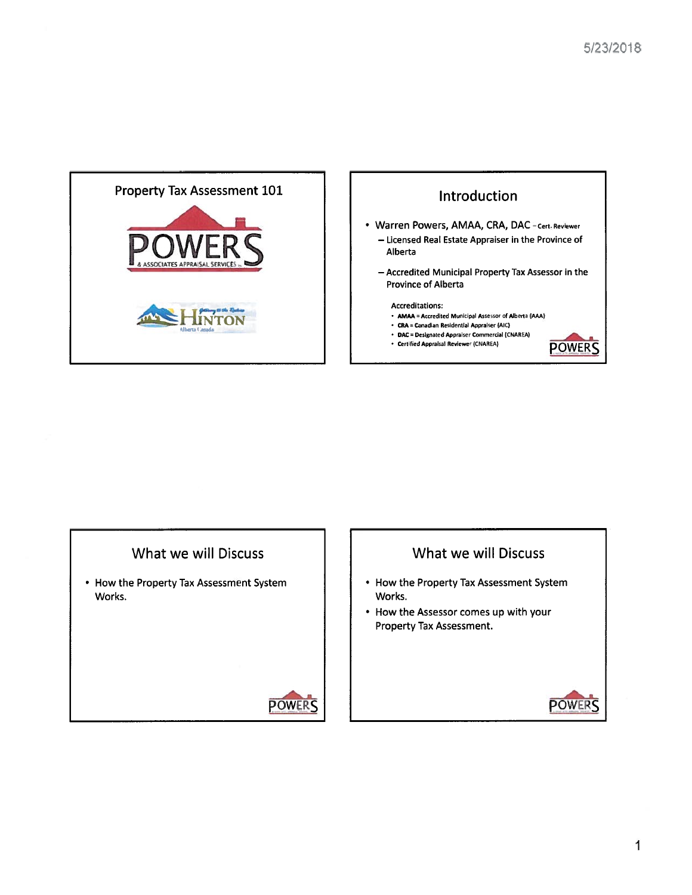



# What we will Discuss

• How the Property Tax Assessment System Works.



# What we will Discuss

- How the Property Tax Assessment System Works.
- How the Assessor comes up with your Property Tax Assessment.

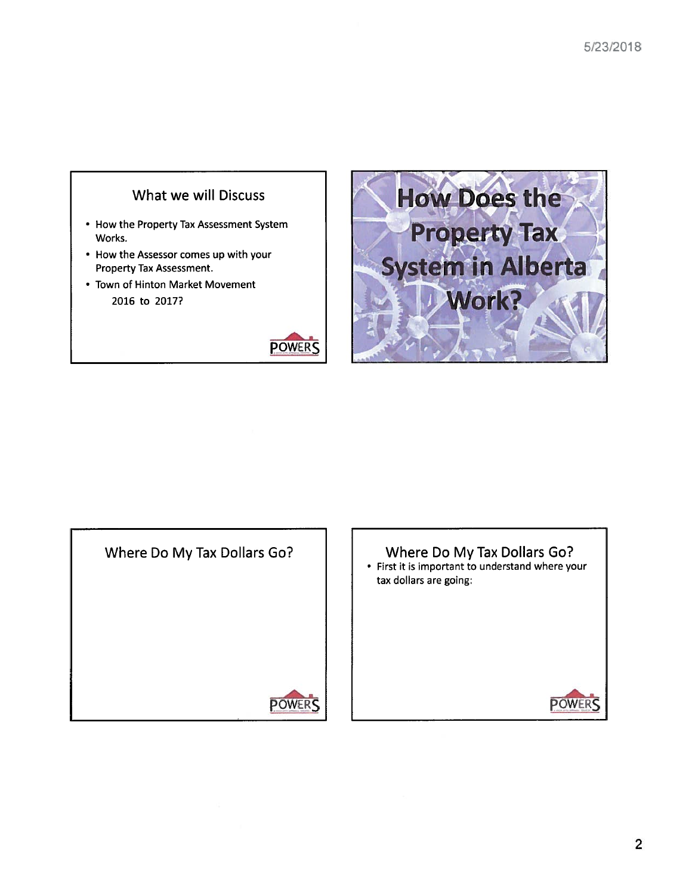# What we will Discuss

- How the Property Tax Assessment System Works.
- How the Assessor comes up with your Property Tax Assessment.
- Town of Hinton Market Movement 2016 to 2017?







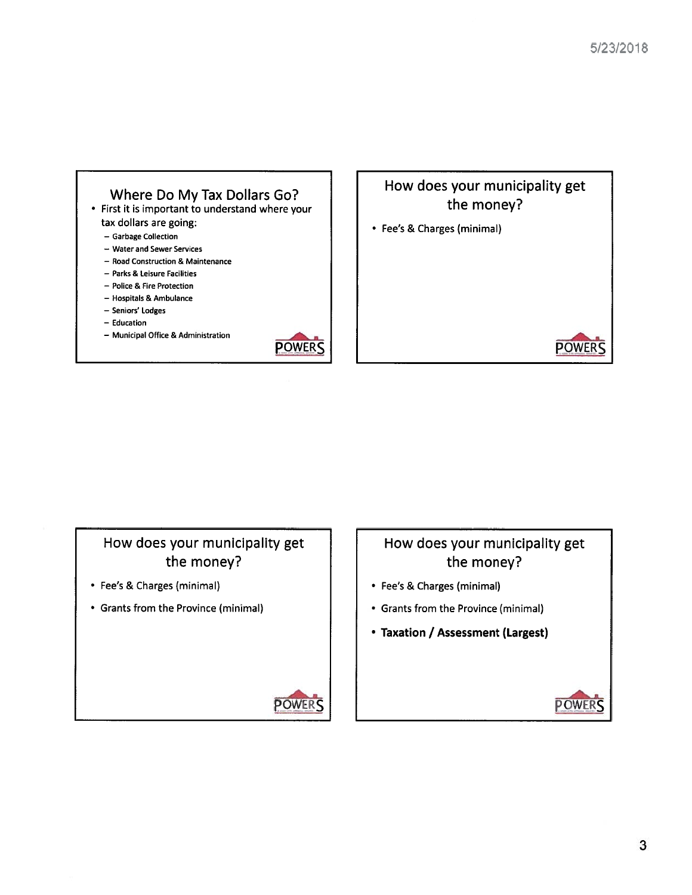





- Fee's & Charges (minimal)
- Grants from the Province (minimal)

# How does your municipality ge<sup>t</sup> the money? • Fee's & Charges (minimal)

- Grants from the Province (minimal)
- Taxation / Assessment (Largest)



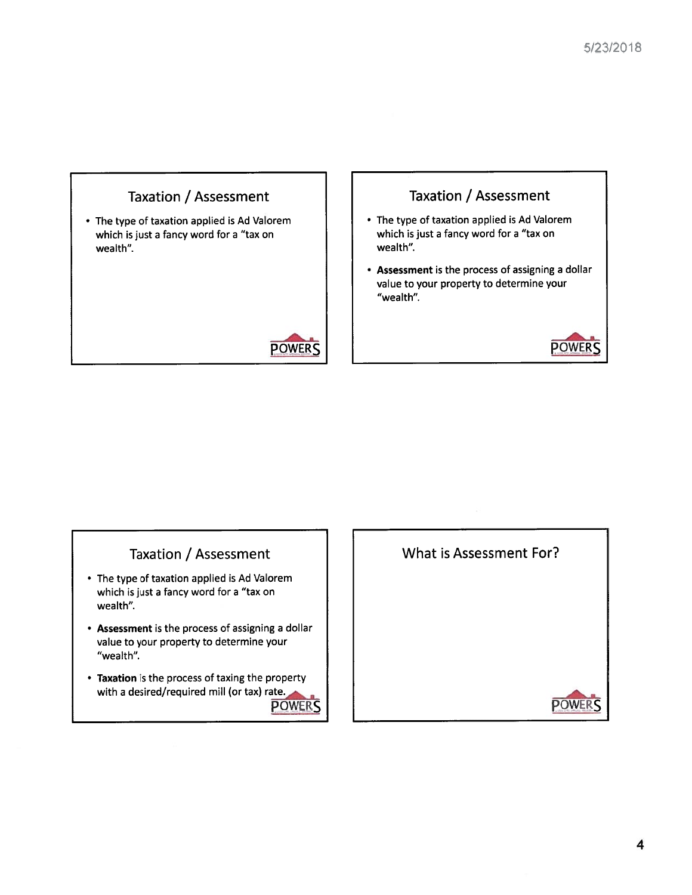

- The type of taxation applied is Ad Valorem which is just <sup>a</sup> fancy word for <sup>a</sup> "tax on wealth".
- Assessment is the process of assigning <sup>a</sup> dollar value to your property to determine your "wealth".
- Taxation is the process of taxing the property



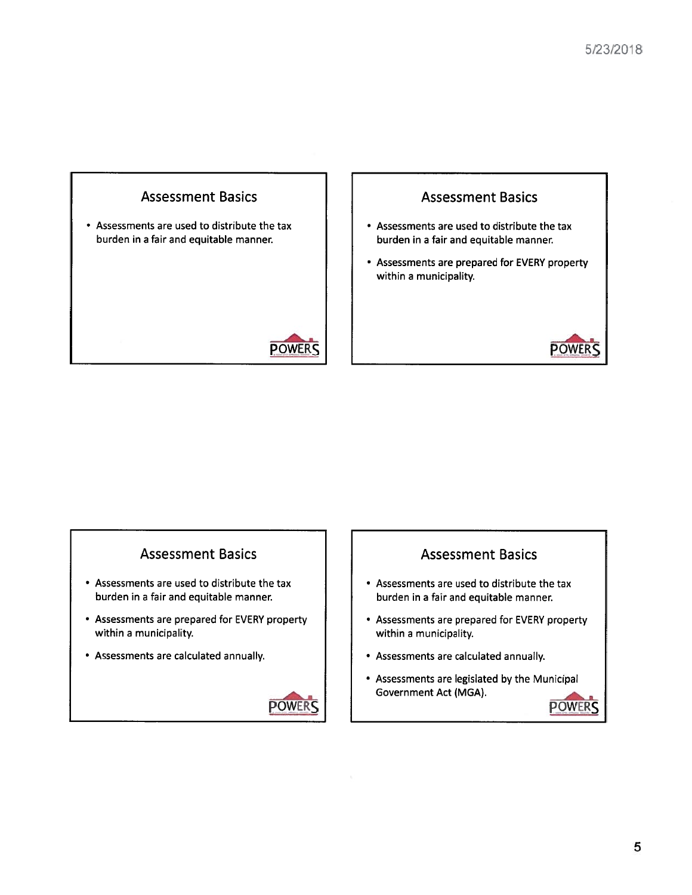

# Assessments are prepared for EVERY property within <sup>a</sup> municipality.

# Assessment Basics **Assessment Basics Assessment Basics**

- Assessments are used to distribute the tax  $\begin{array}{c|c} \hline \end{array}$  Assessments are used to distribute the tax
- Assessments are prepared for EVERY property within a municipality.  $\begin{array}{ccc} \hline \end{array}$  within a municipality.
- Assessments are calculated annually. Assessments are calculated annually.



- burden in <sup>a</sup> fair and equitable manner. burden in <sup>a</sup> fair and equitable manner.
	- Assessments are prepared for EVERY property
	-
	- Assessments are legislated by the Municipal Government Act (MGA).

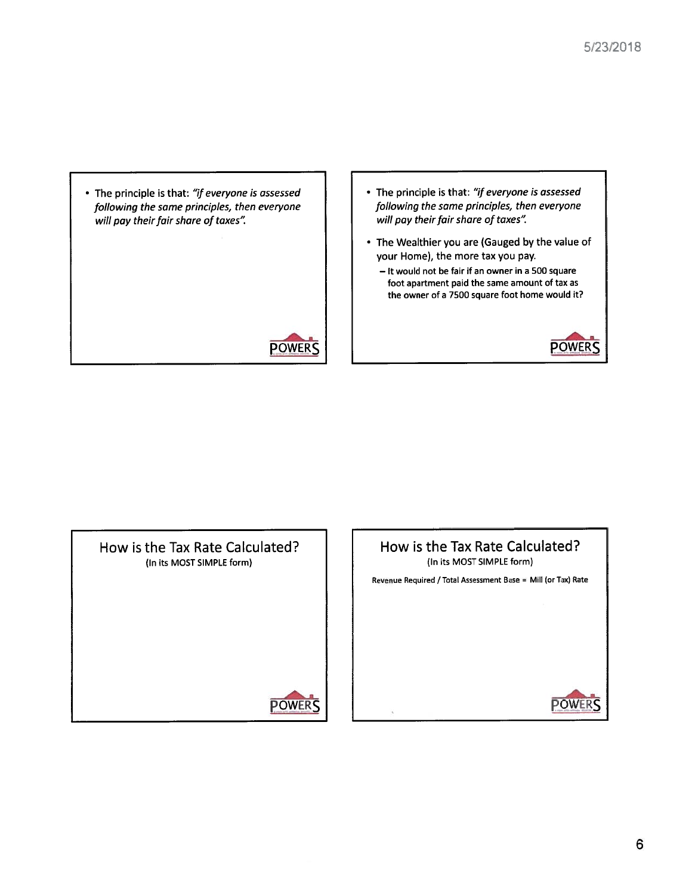• The principle is that: "if everyone is assessed  $\qquad \qquad | \qquad \qquad |$  • The principle is that: "if everyone is assessed will pay their fair share of taxes".



- following the same principles, then everyone<br>
will pay their fair share of taxes".<br>
will pay their fair share of taxes".
	- The Wealthier you are (Gauged by the value of your Home), the more tax you pay.
		- It would not be fair if an owner in <sup>a</sup> 500 square foot apartment paid the same amount of tax as the owner of <sup>a</sup> 7500 square foot home would it?





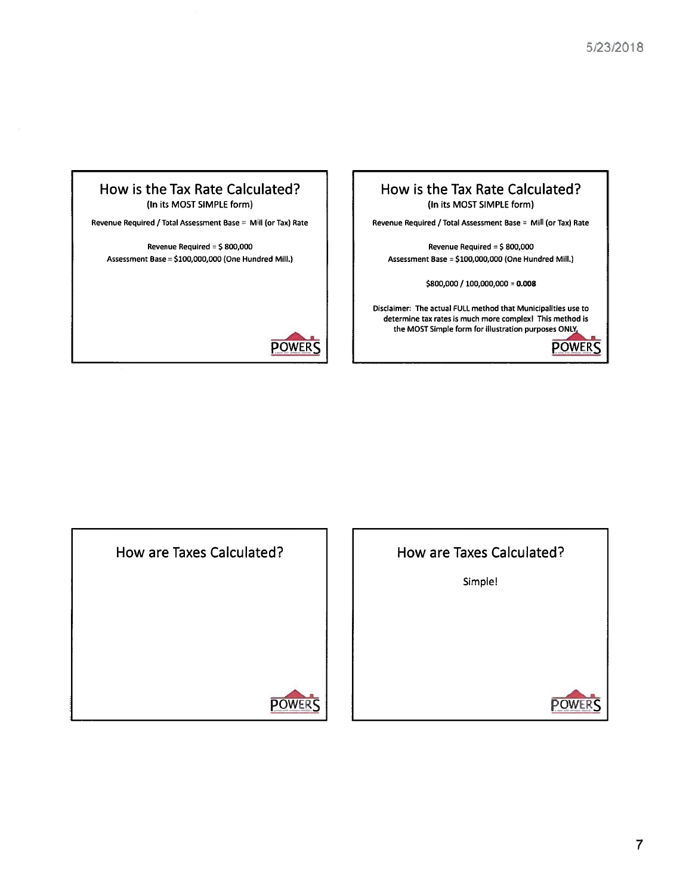

\$800,000 / 100,000,000 <sup>=</sup> 0.008

Oisclaimer: The actual FULL method that Municipalities use to determine tax rates is much more complex! This method is the MOST Simple form for illustration purposes ONlY.





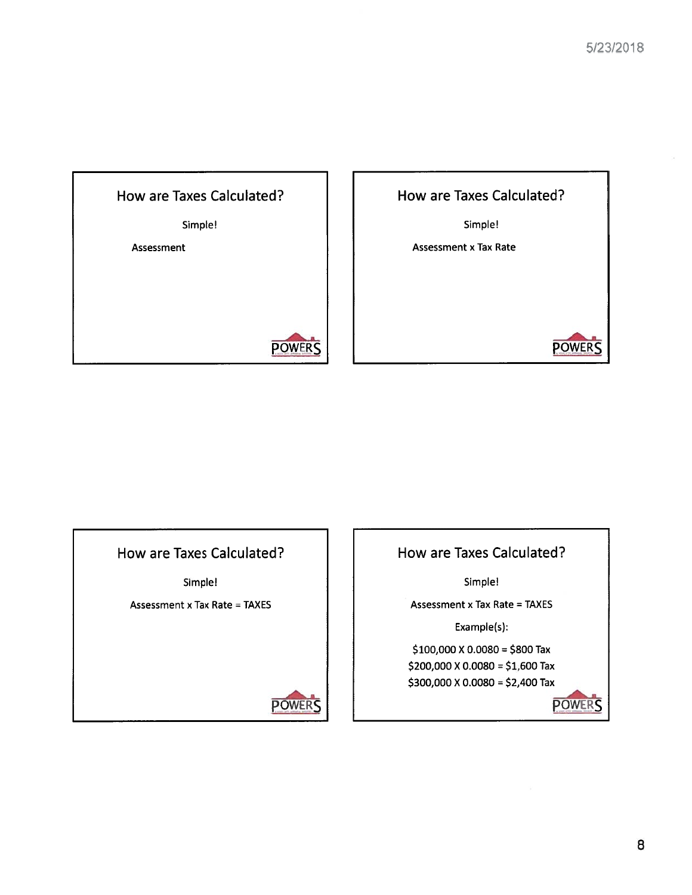

Simple! Assessment <sup>x</sup> Tax Rate How are Taxes Calculated? **POWERS** 

# How are Taxes Calculated?

Simple!

Assessment <sup>x</sup> Tax Rate <sup>=</sup> TAXES



How are Taxes Calculated?

Simple!

Assessment <sup>x</sup> Tax Rate <sup>=</sup> TAXES

Example(s):

\$100,000 X 0.0080 = \$800 Tax \$200,000 X 0.0080 <sup>=</sup> \$1,600 Tax \$300,000 X 0.0080 <sup>=</sup> \$2,400 Tax

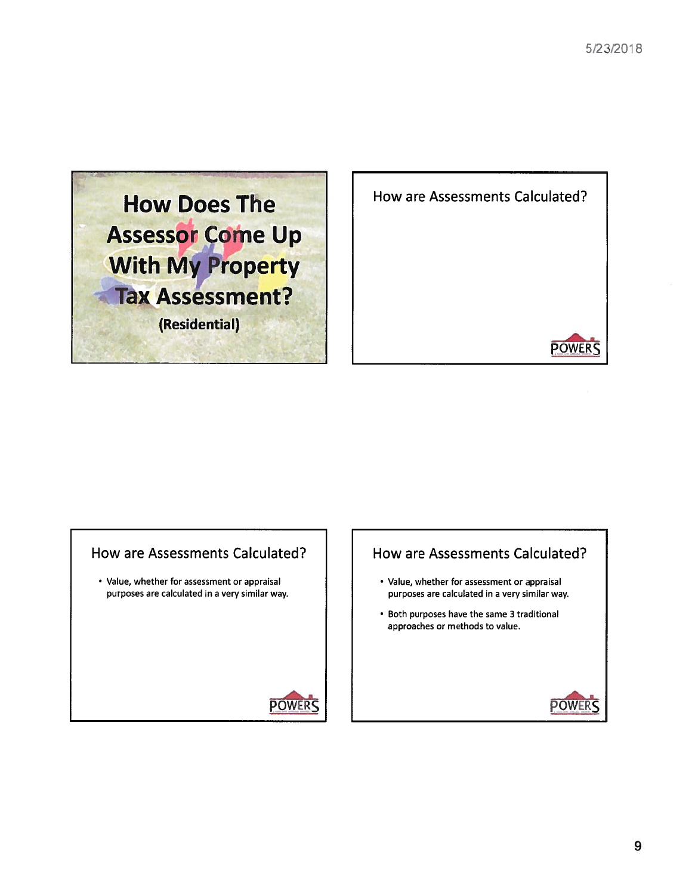



# How are Assessments Calculated?  $\parallel$  How are Assessments Calculated?

• Value, whether for assessment or appraisal **•** Value, whether for assessment or appraisa



- purposes are calculated in <sup>a</sup> very similar way. purposes are calculated in <sup>a</sup> very similar way.
	- Both purposes have the same 3 traditional approaches or methods to value.

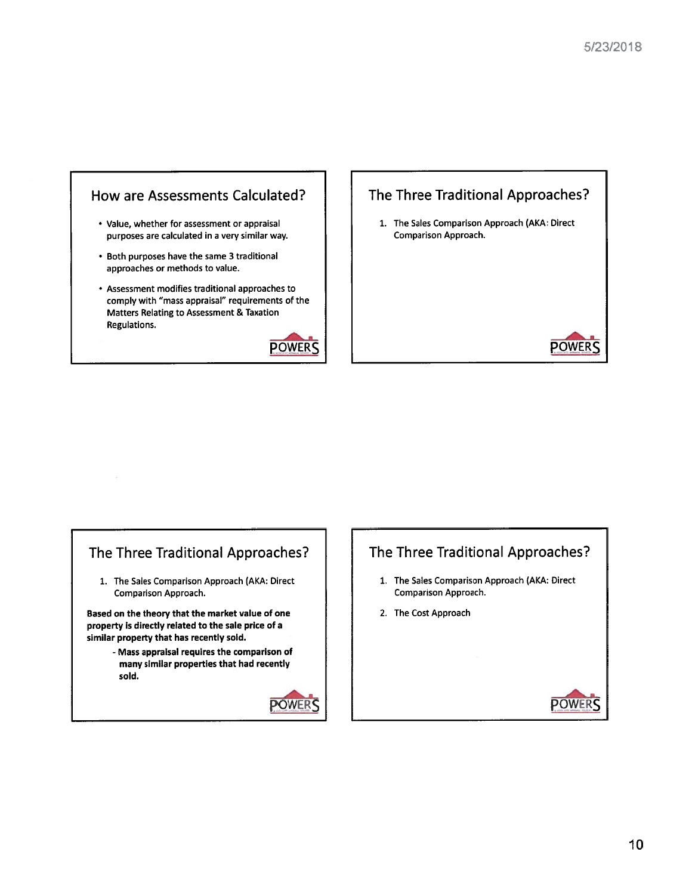



1. The Sales Comparison Approach (AKA: Direct



# The Three Traditional Approaches?  $\parallel$   $\parallel$  The Three Traditional Approaches?

Comparison Approach. Comparison Approach.

Based on the theory that the market value of one 2. The Cost Approach property is directly related to the sale price of <sup>a</sup> similar property that has recently sold.

- Mass appraisal requires the comparison of many similar properties that had recently sold.



- 1. The Sales Comparison Approach (AKA: Direct 1. The Sales Comparison Approach (AKA: Direct
	-

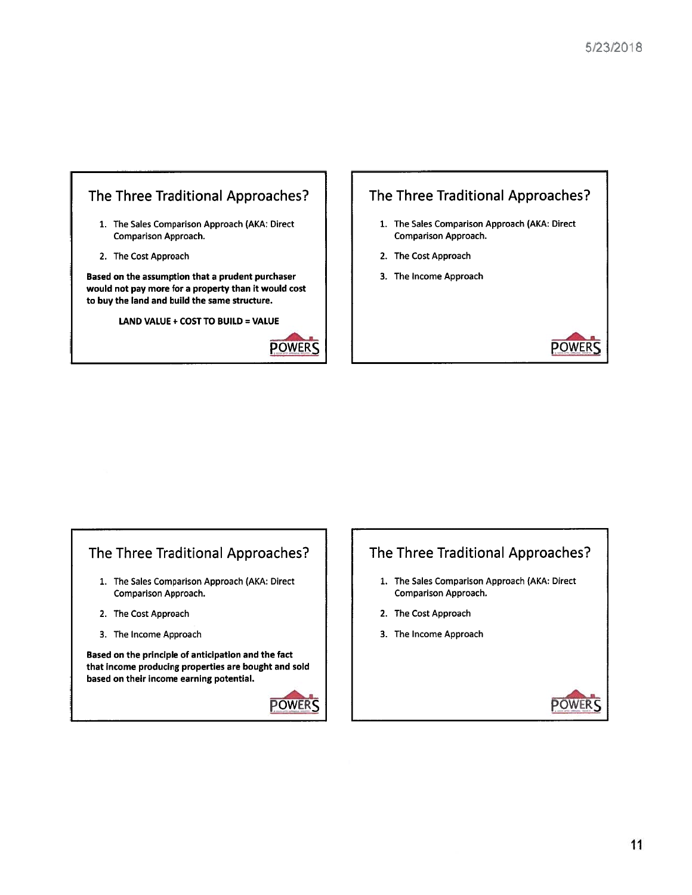



# The Three Traditional Approaches?  $\vert \vert$  The Three Traditional Approaches?

- Comparison Approach. Comparison Approach.
- 
- 

Based on the principle of anticipation and the fact that income producing properties are bought and sold based on their income earning potential.



- 1. The Sales Comparison Approach (AKA: Direct 1. The Sales Comparison Approach (AKA: Direct
- 2. The Cost Approach 2. The Cost Approach
- 3. The Income Approach 2. The Income Approach 2. The Income Approach

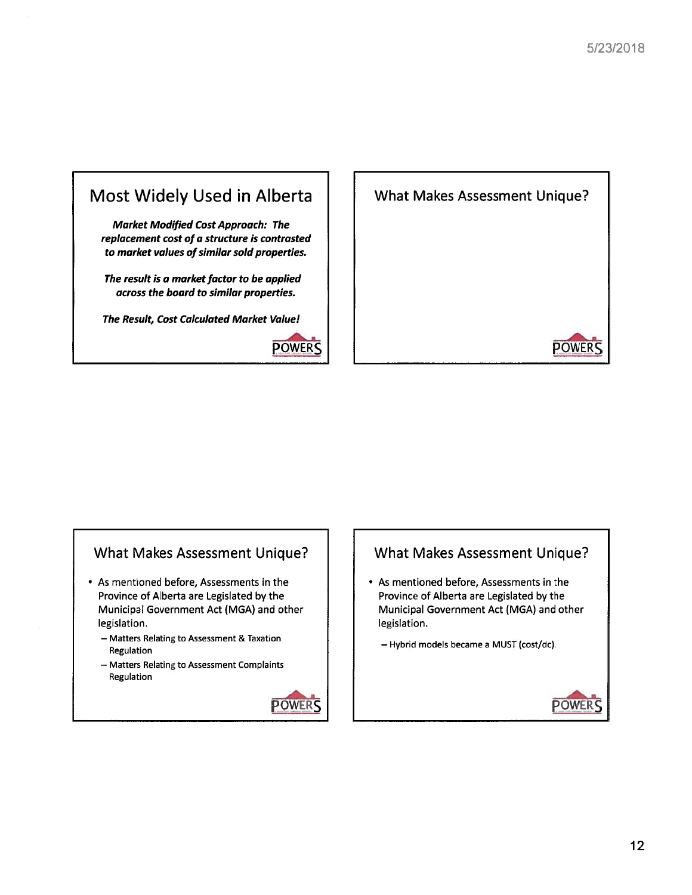



# What Makes Assessment Unique?

- As mentioned before, Assessments in the Province of Alberta are Legislated by the Municipal Government Act (MGA) and other legislation.
	- Matters Relating to Assessment & Taxation Regulation
	- Matters Relating to Assessment Complaints Regulation



# What Makes Assessment Unique?

- As mentioned before, Assessments in the Province of Alberta are Legislated by the Municipal Government Act (MGA) and other legislation.
	- Hybrid models became <sup>a</sup> MUST (cost/dc).

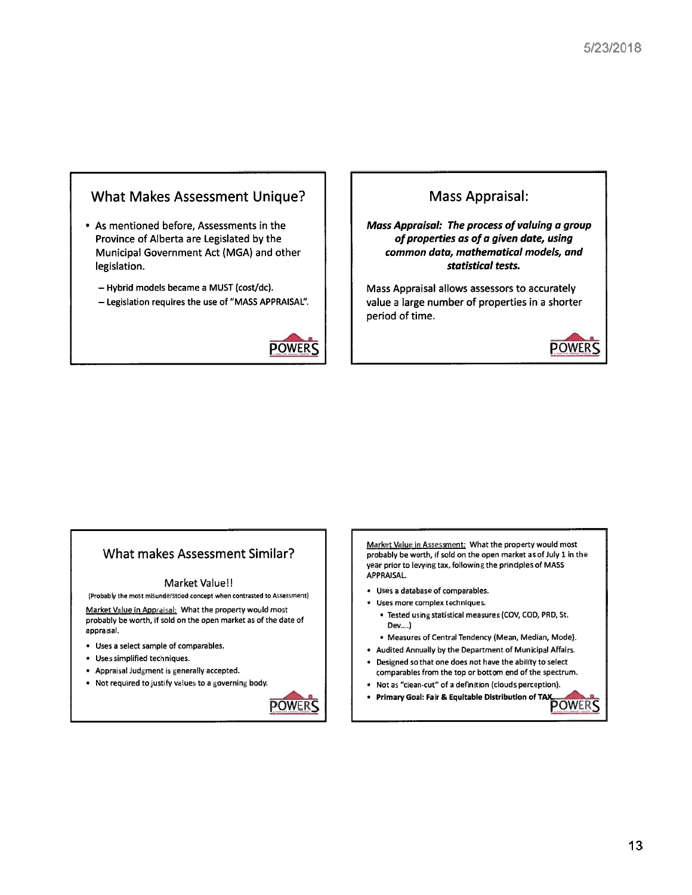# What Makes Assessment Unique?

- As mentioned before, Assessments in the Province of Alberta are Legislated by the Municipal Government Act (MGA) and other legislation.
	- Hybrid models became <sup>a</sup> MUST (cost/dc).
	- Legislation requires the use of "MASS APPRAISAL".



# Mass Appraisal:

Mass Appraisal: The process of valuing <sup>a</sup> group of properties as of <sup>a</sup> given date, using common data, mathematical models, and statistical tests.

Mass Appraisal allows assessors to accurately value <sup>a</sup> large number of properties in <sup>a</sup> shorter period of time.



# What makes Assessment Similar?

#### Market Value!

(Probdbly the most misunderstood concep<sup>t</sup> when contrasted to Assessment)

Market Value in Appraisal: What the property would most probably be worth, if sold on the open market as of the date of appraisal

- Uses <sup>a</sup> select sample of comparables.
- Uses simplified techniques.
- Appraisal Judgment is generally accepted.
- Not required to justify values to a governing body.



Market Value in Assessment: What the property would most probably be worth, if sold on the open market as of July 1 in the year prior to levying tax, following the principles of MASS APPRAISAL.

- Uses <sup>a</sup> database of comparables.
- Uses more romplex techniques.
	- Tested using statistical measures (CDV, COD, PRO, St. 0ev....)
	- Measures of Central Tendency (Mean, Median, Mode).
- Audited Annually by the Department of Municipal Affairs.
- Designed so that one does not have the ability to select comparables from the top or bottom end of the spectrum.
- Not as "clean-cut" of <sup>a</sup> definition (clouds perception).
- •Primary Goal: Fair & Equitable Distribution of TA)(

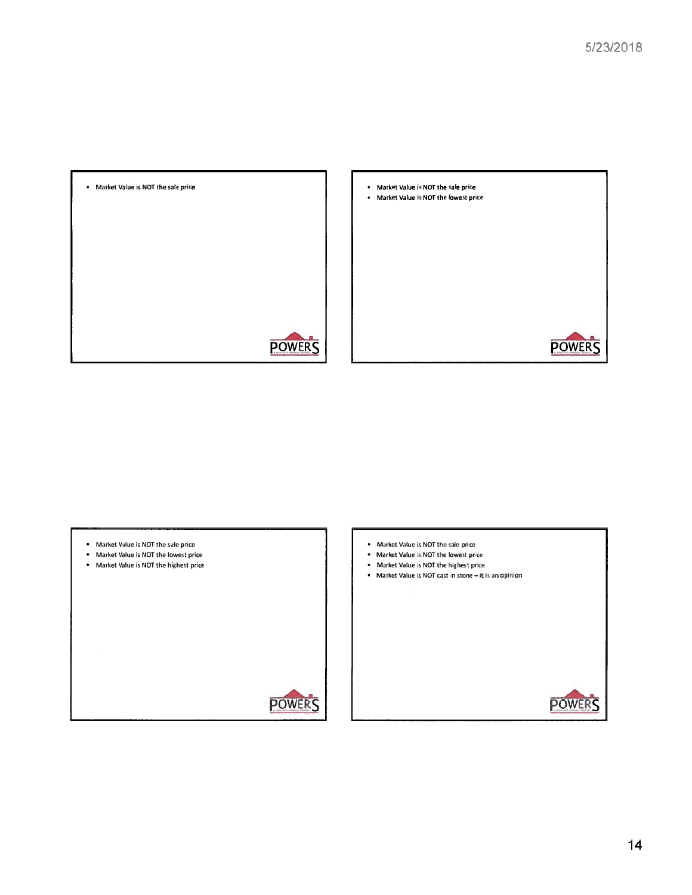

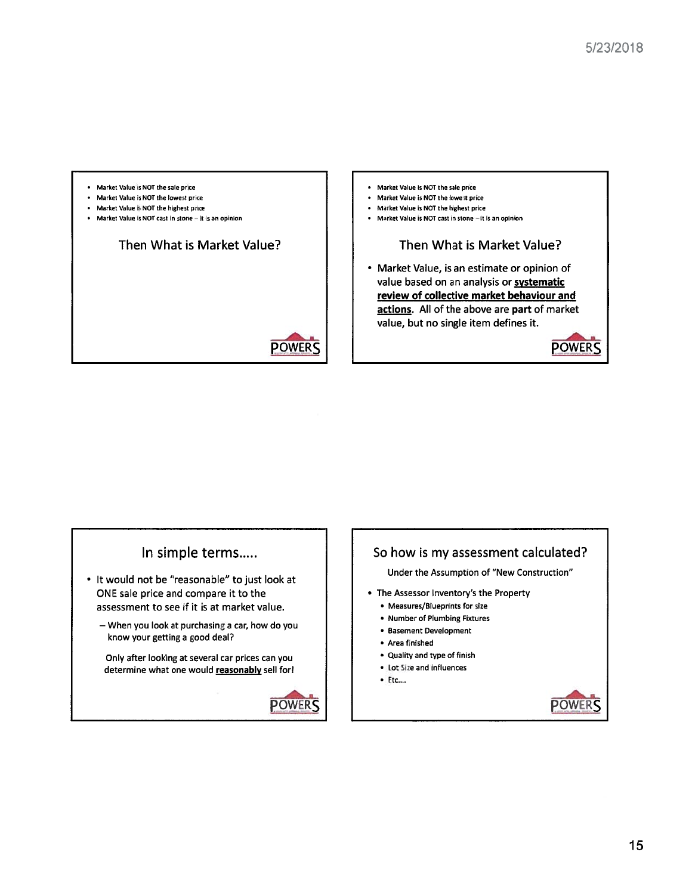

# In simple terms.....

- It would not be "reasonable" to just look at ONE sale price and compare it to the assessment to see if it is at market value.
	- When you look at purchasing a car, how do you know your getting <sup>a</sup> good deal?

Only after looking at several car prices can you determine what one would reasonably sell for!



# So how is my assessment calculated?

Under the Assumption of 'New Construction"

- The Assessor Inventory's the Property
	- Measures/Blueprints for size
	- Number of Plumbing Fixtures
	- Basement Development
	- Area finished
	- Quality and type of finish
	- $\bullet$  Lot Size and influences
	- Etc....

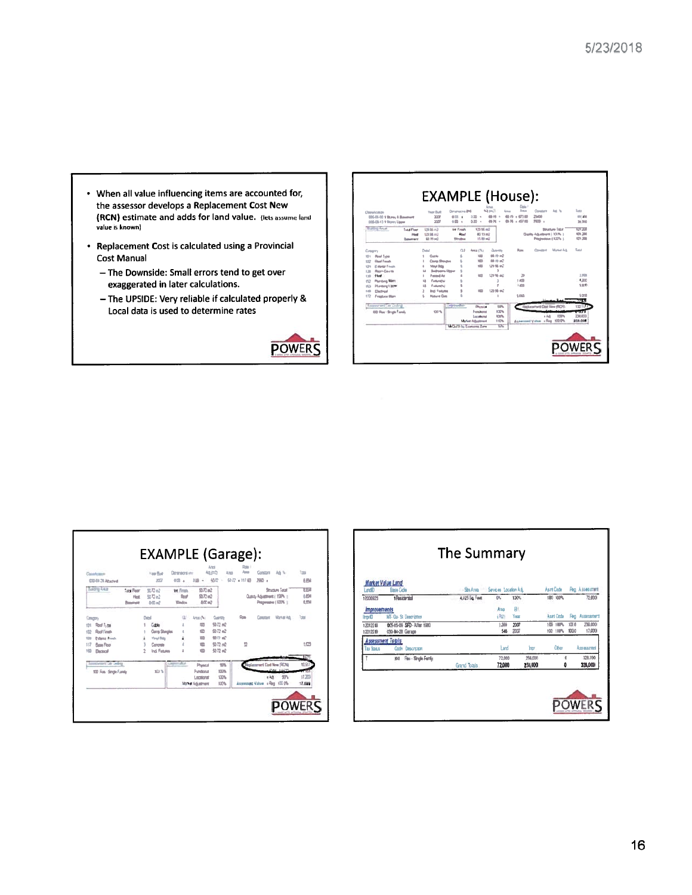- When all value influencing items are accounted for, the assessor develops a Replacement Cost New (RCN) estimate and adds for land value. (lets assume land value is known)
- Replacement Cost is calculated using a Provincial **Cost Manual** 
	- The Downside: Small errors tend to get over exaggerated in later calculations.
	- The UPSIDE: Very reliable if calculated properly & Local data is used to determine rates





|            | Constraint<br>CIS-DJ ZI Attached |                                              |       | Year Buit<br>2022                | Distinatoris imi<br>om a        | $100 -$                      | Ana<br>40,000<br>Ana<br>50 TZ<br>× | سد<br>92.1100 | Contact<br>2980 a                            | A6 %                   | Total<br>EEM                    |
|------------|----------------------------------|----------------------------------------------|-------|----------------------------------|---------------------------------|------------------------------|------------------------------------|---------------|----------------------------------------------|------------------------|---------------------------------|
|            | <b>Balling Aleas</b>             | Tatal Form<br><b>Host</b><br><b>Banchurt</b> |       | SL72 m2<br>SIDe2<br>$0 \times m$ | te from<br>Roof<br><b>Wedna</b> | $2072$ m2<br>監控部<br>$AC = 2$ |                                    |               | Quest Advertised / 1974 1<br>Рединами (100%) | <b>Structure Total</b> | 西川<br><b>LESS</b><br><b>LEM</b> |
| Congrey    |                                  |                                              | David |                                  |                                 | Area (N)                     | <b>Currey</b>                      | Ras           | Commer                                       | <b>Manar Ad</b>        | 1st                             |
| 价          | Roof Tytes                       |                                              |       | <b>Cohin</b>                     |                                 | m                            | \$3.72 m2                          |               |                                              |                        |                                 |
| 102        | <b>Boot Finals</b>               |                                              |       | Corris Shingles                  |                                 | stift-                       | $$72$ $m$ <sup>2</sup>             |               |                                              |                        |                                 |
| <b>LUS</b> | <b>Editor Frish</b>              |                                              |       | Your Site                        |                                 | 330                          | <b>如刀式</b>                         |               |                                              |                        |                                 |
| 117        | <b>Base Rear</b>                 |                                              |       | Concests                         |                                 | 100                          | \$372 m <sup>2</sup>               | Q             |                                              |                        | 153                             |
| 103        | <b><i><u>Partnership</u></i></b> |                                              | 2     | <b>Ind. Feature</b>              | ź                               | <b>YES</b>                   | 5372 e2                            |               |                                              |                        | w                               |
|            | <b>CONTRACTOR CARDS</b>          |                                              |       |                                  | <b>Line Hotel Burn</b>          | Poned                        | SW <sub>1</sub>                    |               | <b>Lamewell Cont New (RCA)</b>               |                        | 11.517                          |
|            | 100 Fins - Stripe Fundy          |                                              |       | <b>RUS</b>                       |                                 | Fundatus<br>Locatorat        | 1375<br>1325                       |               | v Ads                                        | 976                    | 17.25                           |
|            |                                  |                                              |       |                                  |                                 | <b>Move Adjustment</b>       | 100%                               |               | Assistant Value + Reg. 1000%                 |                        | 17,000                          |

| <b>Land</b> D                      | <b>Market Value Land</b><br><b>Base Code</b>   | -She Area<br><b>SAL</b> | Services Location Adj. |                    | Asrt Code            |                | <b>Reg. Assessment</b> |
|------------------------------------|------------------------------------------------|-------------------------|------------------------|--------------------|----------------------|----------------|------------------------|
| 12005923                           | 1 Residential                                  | 4,925 Sq. Feet          | 9%                     | 130%               | 100 100%             |                | 72,000                 |
| <i>improvements</i><br><b>horD</b> | MF- Os- St Deacration                          |                         | Area<br>(R2)           | Яt<br>Year         | Aset Critis          |                | Fing Assessment        |
| 12012218<br>12012219               | 005-05-09 SFD After 1980<br>030-04-28 Gerage   |                         | 1,300<br>545           | 2007<br>2007       | 100 100%<br>100 100% | 100 8<br>100.0 | 239,000<br>17,000      |
| Tax Shakes                         | <b>Assessment Totals</b><br>Descretion<br>Code |                         | Land                   | <b>hav</b>         | Oher                 |                | Assessment             |
|                                    | Res - Strate Fectly<br>100                     | Grand Totals:           | 72,000<br>72,000       | 256,000<br>256,000 | O                    | o              | 129.090<br>328,000     |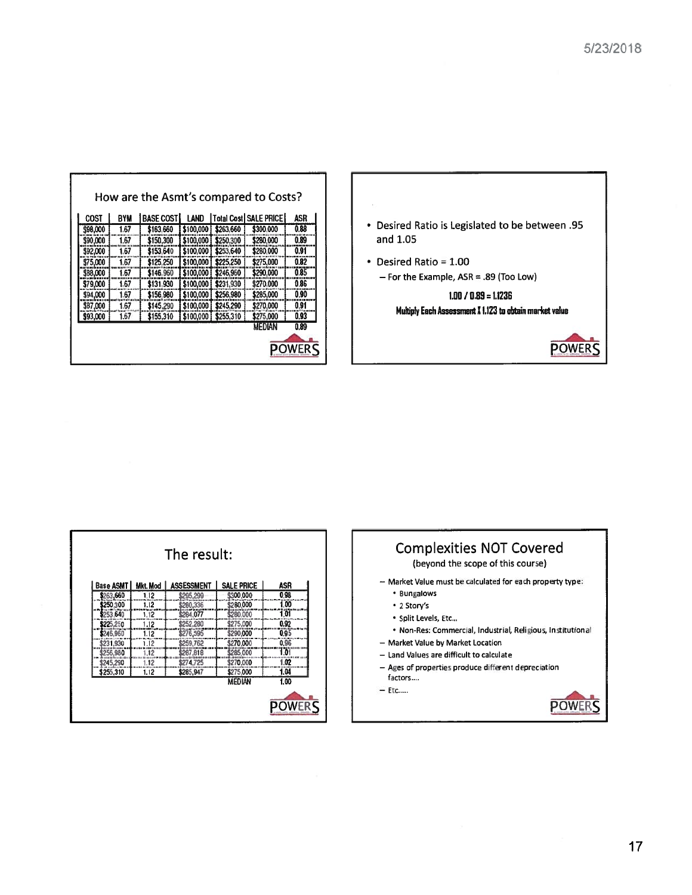| ASR  | <b>Total Cost   SALE PRICE  </b> |           | LAND      | <b>BASE COST</b> | <b>BYM</b> | <b>COST</b> |
|------|----------------------------------|-----------|-----------|------------------|------------|-------------|
| 0.88 | \$300,000                        | \$263,660 | \$100,000 | \$163,660        | 1.67       | \$98,000    |
| 0.89 | \$280,000                        | \$250,300 | \$100,000 | \$150,300        | 1.67       | \$90,000    |
| 0.91 | \$280,000                        | \$253,640 | \$100,000 | \$153,640        | 1.67       | \$92,000    |
| 0.82 | \$275.000                        | \$225.250 | \$100,000 | \$125,250        | 1.67       | \$75,000    |
| 0.85 | \$290.000                        | \$246,960 | \$100,000 | \$146.960        | 1.67       | \$88,000    |
| 0.86 | \$270.000                        | \$231,930 | \$100,000 | \$131.930        | 1.67       | \$79,000    |
| 0.90 | \$285,000                        | \$256,980 | \$100,000 | \$156,980        | 1.67       | \$94,000    |
| 0.91 | \$270.000                        | \$245.290 | \$100,000 | \$145.290        | 1.67       | \$87,000    |
| 0.93 | \$275,000                        | \$255,310 | \$100,000 | \$155,310        | 1.67       | \$93,000    |
| 0.89 | MEDIAN                           |           |           |                  |            |             |



| <b>Base ASMT</b> | Mkt. Mod | <b>ASSESSMENT</b> | <b>SALE PRICE</b> | ASR   |
|------------------|----------|-------------------|-------------------|-------|
| \$263,660        | 1.12     | \$295,299         | \$300.000         | 0.98  |
| \$250,300        | 1.12     | \$280,336         | \$280,000         | 1.00  |
| \$253,640        | 1.12     | \$284,077         | \$280,000         | 1.01  |
| \$225.250        | 1.12     | \$252,280         | \$275,000         | 0.92  |
| \$246,960        | 1.12     | \$276,595         | \$290,000         | 0.95  |
| \$231.930        | 1.12     | \$259,762         | \$270.000         | 0.96  |
| \$256,980        | 1.12     | \$287,818         | \$285,000         | ʻi öl |
| \$245,290        | 1.12     | \$274,725         | \$270,000         | 1.02  |
| \$255,310        | 1.12     | \$285,947         | \$275,000         | 1.04  |
|                  |          |                   | <b>MEDIAN</b>     | 1.00  |

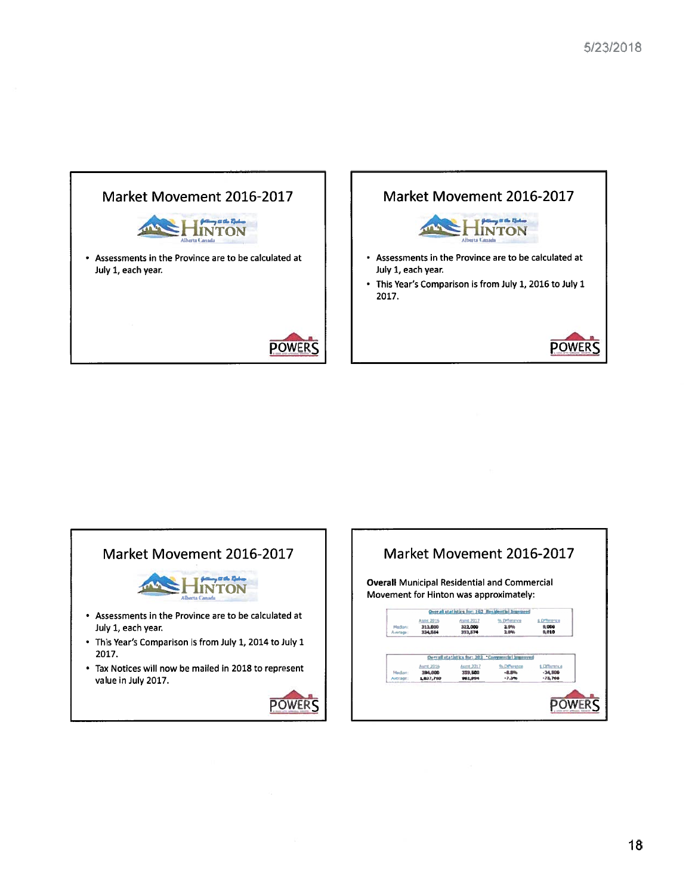



# Market Movement 2016-2017



- Assessments in the Province are to be calculated at July 1, each year.
- This Year's Comparison is from July 1, 2014 to July 1 2017.
- Tax Notices will now be mailed in 2018 to represent value in July 2017.



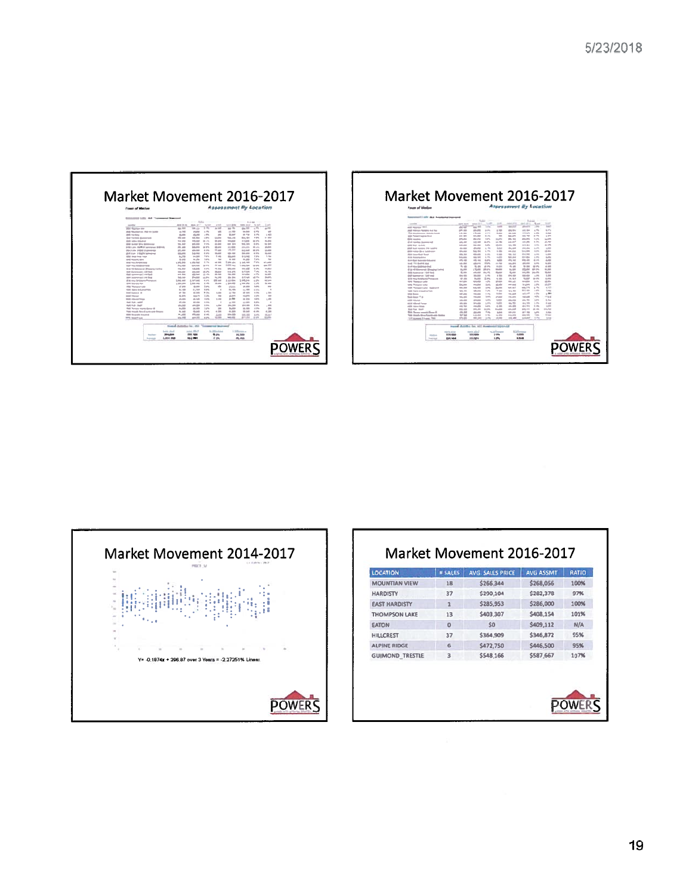





| <b>LOCATION</b>        | <b># SALES</b> | AVG SALLS PRICE | <b>AVG ASSMT</b> | RATIO |
|------------------------|----------------|-----------------|------------------|-------|
| <b>MOUNTIAN VIEW</b>   | 18             | \$266,344       | \$268,056        | 100%  |
| <b>HARDISTY</b>        | 37             | \$290,104       | \$282,378        | 97%   |
| <b>EAST HARDISTY</b>   | $\mathbf{1}$   | \$285,953       | \$286,000        | 100%  |
| <b>THOMPSON LAKE</b>   | 13             | \$403,307       | \$408,154        | 101%  |
| <b>EATON</b>           | $\Omega$       | SO              | \$409,112        | N/A   |
| <b>HILLCREST</b>       | 37             | \$364,909       | \$346,872        | 95%   |
| <b>ALPINE RIDGE</b>    | 6              | \$472,750       | \$446,500        | 95%   |
| <b>GUIMOND TRESTLE</b> | 3              | \$548,166       | \$587,667        | 107%  |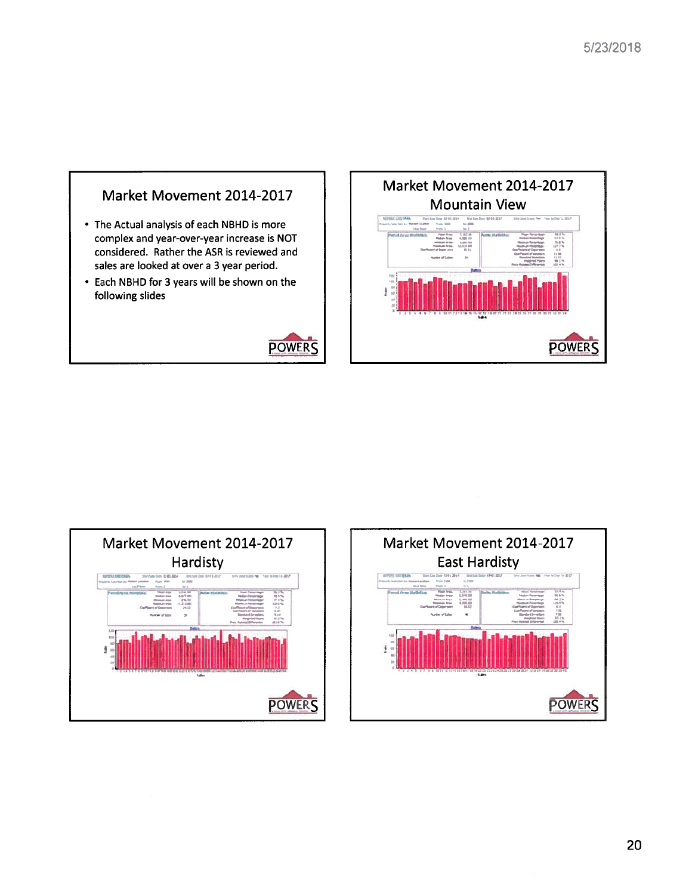







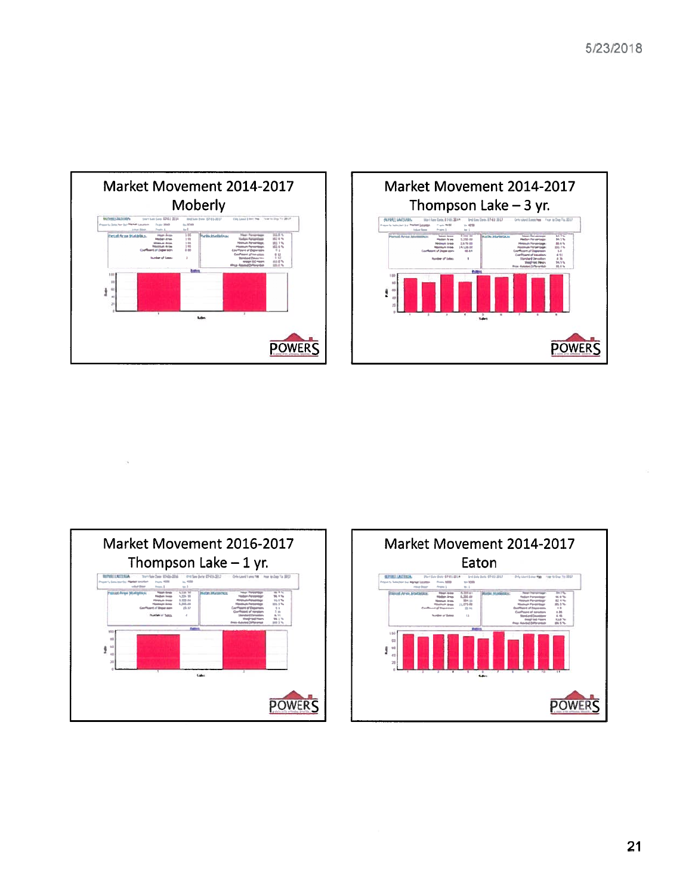



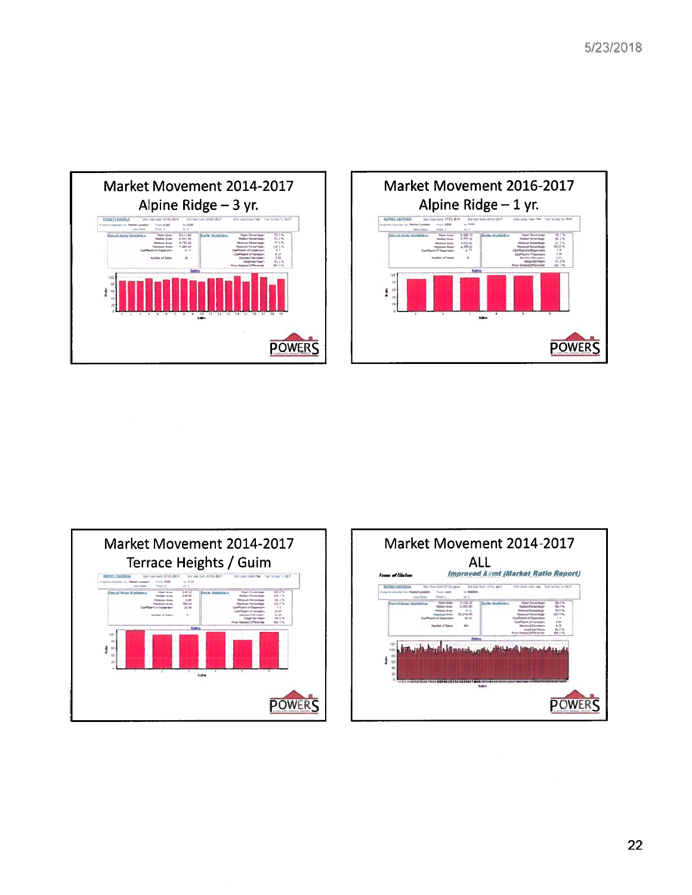



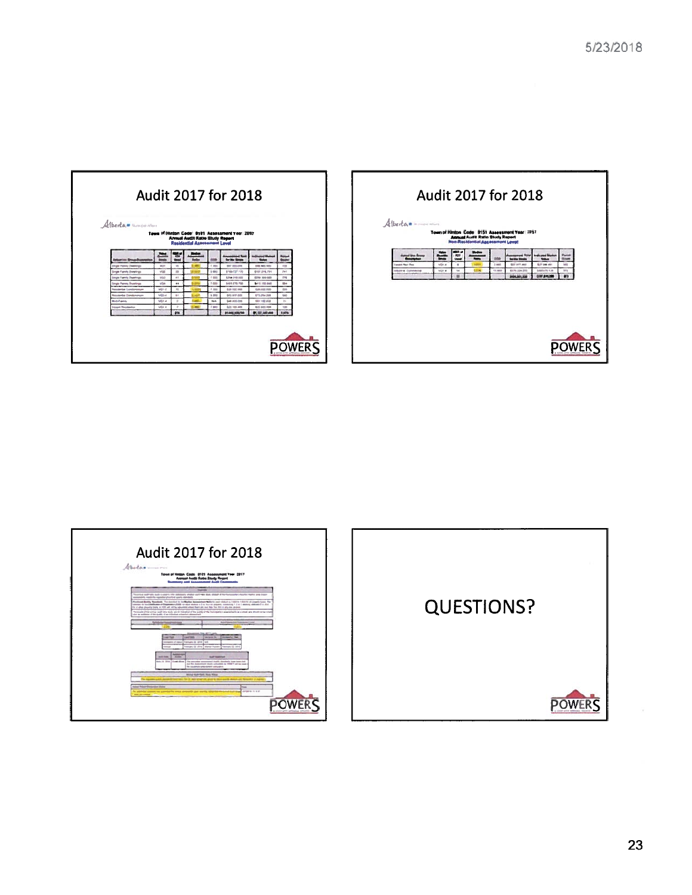